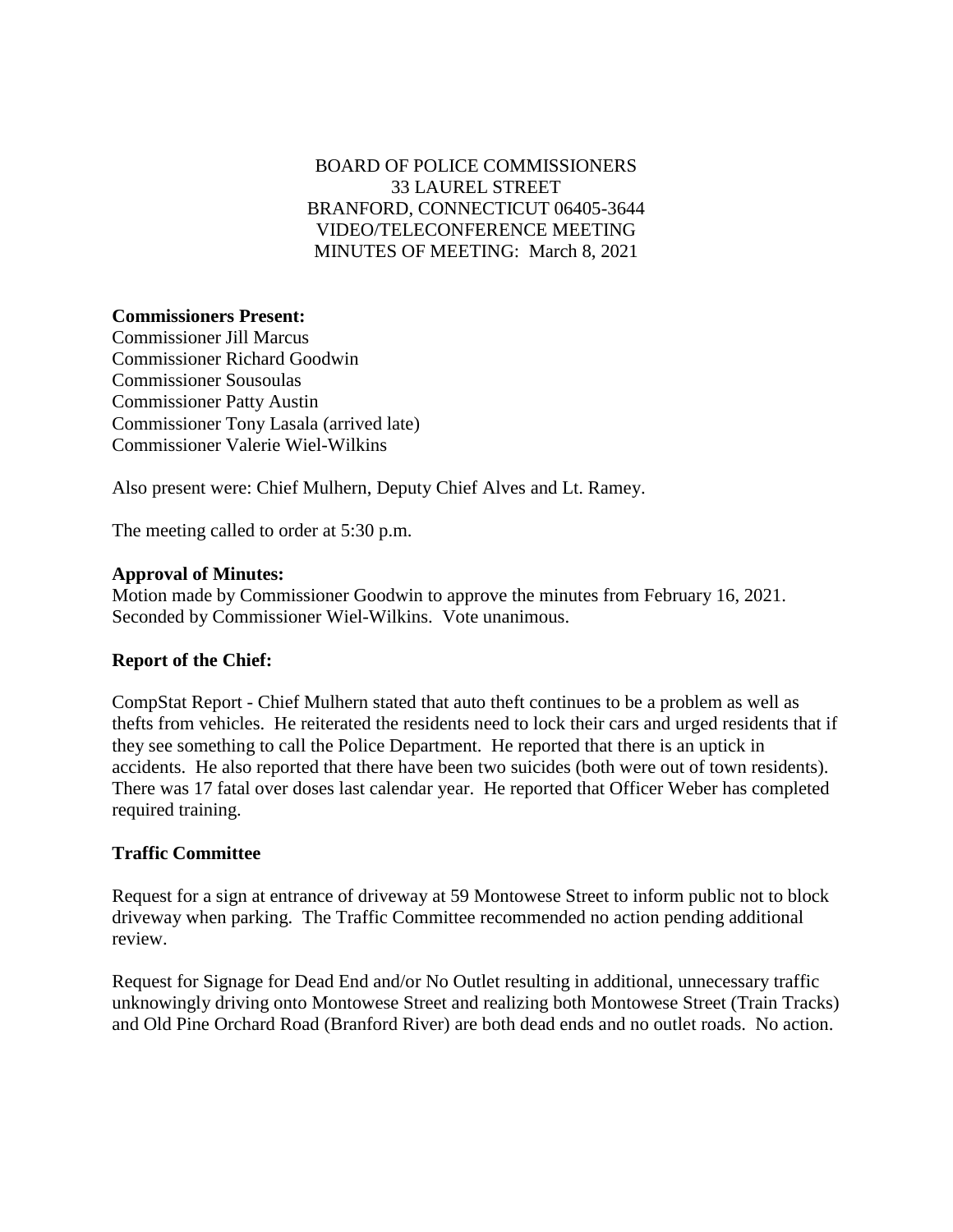# BOARD OF POLICE COMMISSIONERS 33 LAUREL STREET BRANFORD, CONNECTICUT 06405-3644 VIDEO/TELECONFERENCE MEETING MINUTES OF MEETING: March 8, 2021

## **Commissioners Present:**

Commissioner Jill Marcus Commissioner Richard Goodwin Commissioner Sousoulas Commissioner Patty Austin Commissioner Tony Lasala (arrived late) Commissioner Valerie Wiel-Wilkins

Also present were: Chief Mulhern, Deputy Chief Alves and Lt. Ramey.

The meeting called to order at 5:30 p.m.

#### **Approval of Minutes:**

Motion made by Commissioner Goodwin to approve the minutes from February 16, 2021. Seconded by Commissioner Wiel-Wilkins. Vote unanimous.

## **Report of the Chief:**

CompStat Report - Chief Mulhern stated that auto theft continues to be a problem as well as thefts from vehicles. He reiterated the residents need to lock their cars and urged residents that if they see something to call the Police Department. He reported that there is an uptick in accidents. He also reported that there have been two suicides (both were out of town residents). There was 17 fatal over doses last calendar year. He reported that Officer Weber has completed required training.

## **Traffic Committee**

Request for a sign at entrance of driveway at 59 Montowese Street to inform public not to block driveway when parking. The Traffic Committee recommended no action pending additional review.

Request for Signage for Dead End and/or No Outlet resulting in additional, unnecessary traffic unknowingly driving onto Montowese Street and realizing both Montowese Street (Train Tracks) and Old Pine Orchard Road (Branford River) are both dead ends and no outlet roads. No action.